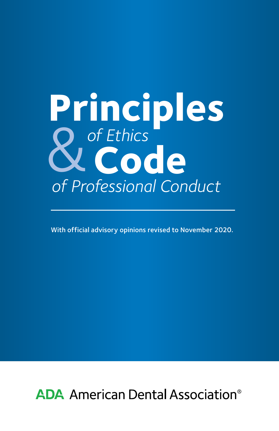

With official advisory opinions revised to November 2020.

**ADA** American Dental Association<sup>®</sup>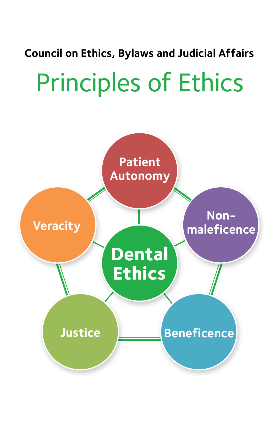# **Council on Ethics, Bylaws and Judicial Affairs**

# Principles of Ethics

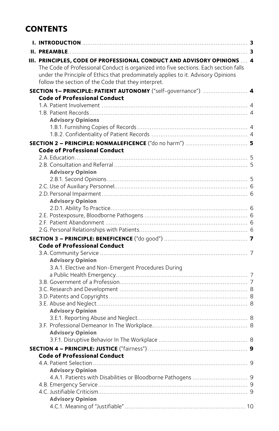# **CONTENTS**

| III. PRINCIPLES, CODE OF PROFESSIONAL CONDUCT AND ADVISORY OPINIONS  4               |  |
|--------------------------------------------------------------------------------------|--|
| The Code of Professional Conduct is organized into five sections. Each section falls |  |
| under the Principle of Ethics that predominately applies to it. Advisory Opinions    |  |
| follow the section of the Code that they interpret.                                  |  |
| SECTION 1- PRINCIPLE: PATIENT AUTONOMY ("self-governance")  4                        |  |
| <b>Code of Professional Conduct</b>                                                  |  |
|                                                                                      |  |
|                                                                                      |  |
| <b>Advisory Opinions</b>                                                             |  |
|                                                                                      |  |
|                                                                                      |  |
|                                                                                      |  |
| <b>Code of Professional Conduct</b>                                                  |  |
|                                                                                      |  |
|                                                                                      |  |
| <b>Advisory Opinion</b>                                                              |  |
|                                                                                      |  |
|                                                                                      |  |
|                                                                                      |  |
| <b>Advisory Opinion</b>                                                              |  |
|                                                                                      |  |
|                                                                                      |  |
|                                                                                      |  |
|                                                                                      |  |
|                                                                                      |  |
| <b>Code of Professional Conduct</b>                                                  |  |
|                                                                                      |  |
| <b>Advisory Opinion</b>                                                              |  |
| 3.A.1. Elective and Non-Emergent Procedures During                                   |  |
|                                                                                      |  |
|                                                                                      |  |
|                                                                                      |  |
|                                                                                      |  |
|                                                                                      |  |
| <b>Advisory Opinion</b>                                                              |  |
|                                                                                      |  |
| <b>Advisory Opinion</b>                                                              |  |
|                                                                                      |  |
|                                                                                      |  |
|                                                                                      |  |
| Code of Professional Conduct                                                         |  |
|                                                                                      |  |
| <b>Advisory Opinion</b>                                                              |  |
|                                                                                      |  |
|                                                                                      |  |
| <b>Advisory Opinion</b>                                                              |  |
|                                                                                      |  |
|                                                                                      |  |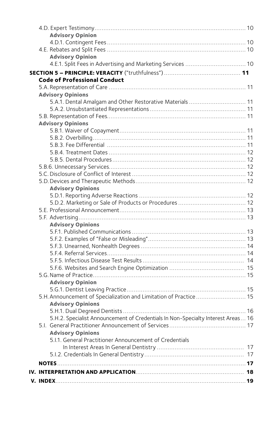| <b>Advisory Opinion</b>                                                          |  |
|----------------------------------------------------------------------------------|--|
|                                                                                  |  |
|                                                                                  |  |
| <b>Advisory Opinion</b>                                                          |  |
|                                                                                  |  |
|                                                                                  |  |
| <b>Code of Professional Conduct</b>                                              |  |
|                                                                                  |  |
| <b>Advisory Opinions</b>                                                         |  |
| 5.A.1. Dental Amalgam and Other Restorative Materials  11                        |  |
|                                                                                  |  |
|                                                                                  |  |
| <b>Advisory Opinions</b>                                                         |  |
|                                                                                  |  |
|                                                                                  |  |
|                                                                                  |  |
|                                                                                  |  |
|                                                                                  |  |
|                                                                                  |  |
|                                                                                  |  |
|                                                                                  |  |
| <b>Advisory Opinions</b>                                                         |  |
|                                                                                  |  |
|                                                                                  |  |
|                                                                                  |  |
|                                                                                  |  |
| <b>Advisory Opinions</b>                                                         |  |
|                                                                                  |  |
|                                                                                  |  |
|                                                                                  |  |
|                                                                                  |  |
|                                                                                  |  |
|                                                                                  |  |
|                                                                                  |  |
| <b>Advisory Opinion</b>                                                          |  |
|                                                                                  |  |
| 5.H. Announcement of Specialization and Limitation of Practice  15               |  |
| <b>Advisory Opinions</b>                                                         |  |
|                                                                                  |  |
| 5.H.2. Specialist Announcement of Credentials In Non-Specialty Interest Areas 16 |  |
|                                                                                  |  |
| <b>Advisory Opinions</b>                                                         |  |
| 5.I.1. General Practitioner Announcement of Credentials                          |  |
|                                                                                  |  |
|                                                                                  |  |
|                                                                                  |  |
|                                                                                  |  |
| V. INDEX                                                                         |  |
|                                                                                  |  |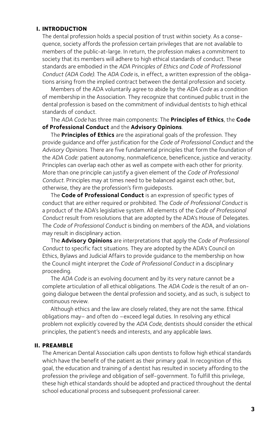#### **I. INTRODUCTION**

The dental profession holds a special position of trust within society. As a consequence, society affords the profession certain privileges that are not available to members of the public-at-large. In return, the profession makes a commitment to society that its members will adhere to high ethical standards of conduct. These standards are embodied in the *ADA Principles of Ethics and Code of Professional Conduct (ADA Code).* The *ADA Code* is, in effect, a written expression of the obligations arising from the implied contract between the dental profession and society.

Members of the ADA voluntarily agree to abide by the *ADA Code* as a condition of membership in the Association. They recognize that continued public trust in the dental profession is based on the commitment of individual dentists to high ethical standards of conduct.

The *ADA Code* has three main components: The **Principles of Ethics**, the **Code of Professional Conduct** and the **Advisory Opinions**.

The **Principles of Ethics** are the aspirational goals of the profession. They provide guidance and offer justification for the *Code of Professional Conduct* and the *Advisory Opinions*. There are five fundamental principles that form the foundation of the *ADA Code:* patient autonomy, nonmaleficence, beneficence, justice and veracity. Principles can overlap each other as well as compete with each other for priority. More than one principle can justify a given element of the *Code of Professional Conduct*. Principles may at times need to be balanced against each other, but, otherwise, they are the profession's firm guideposts.

The **Code of Professional Conduct** is an expression of specific types of conduct that are either required or prohibited. The *Code of Professional Conduct* is a product of the ADA's legislative system. All elements of the *Code of Professional Conduct* result from resolutions that are adopted by the ADA's House of Delegates. The *Code of Professional Conduct* is binding on members of the ADA, and violations may result in disciplinary action.

The **Advisory Opinions** are interpretations that apply the *Code of Professional Conduct* to specific fact situations. They are adopted by the ADA's Council on Ethics, Bylaws and Judicial Affairs to provide guidance to the membership on how the Council might interpret the *Code of Professional Conduct* in a disciplinary proceeding.

The *ADA Code* is an evolving document and by its very nature cannot be a complete articulation of all ethical obligations. The *ADA Code* is the result of an ongoing dialogue between the dental profession and society, and as such, is subject to continuous review.

Although ethics and the law are closely related, they are not the same. Ethical obligations may– and often do –exceed legal duties. In resolving any ethical problem not explicitly covered by the *ADA Code*, dentists should consider the ethical principles, the patient's needs and interests, and any applicable laws.

#### **II. PREAMBLE**

The American Dental Association calls upon dentists to follow high ethical standards which have the benefit of the patient as their primary goal. In recognition of this goal, the education and training of a dentist has resulted in society affording to the profession the privilege and obligation of self-government. To fulfill this privilege, these high ethical standards should be adopted and practiced throughout the dental school educational process and subsequent professional career.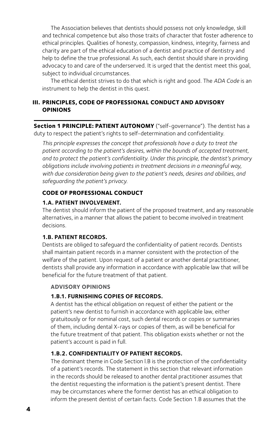The Association believes that dentists should possess not only knowledge, skill and technical competence but also those traits of character that foster adherence to ethical principles. Qualities of honesty, compassion, kindness, integrity, fairness and charity are part of the ethical education of a dentist and practice of dentistry and help to define the true professional. As such, each dentist should share in providing advocacy to and care of the underserved. It is urged that the dentist meet this goal, subject to individual circumstances.

The ethical dentist strives to do that which is right and good. The *ADA Code* is an instrument to help the dentist in this quest.

#### **III. PRINCIPLES, CODE OF PROFESSIONAL CONDUCT AND ADVISORY OPINIONS**

**Section 1 PRINCIPLE: PATIENT AUTONOMY** ("self-governance"). The dentist has a duty to respect the patient's rights to self-determination and confidentiality.

*This principle expresses the concept that professionals have a duty to treat the patient according to the patient's desires, within the bounds of accepted treatment, and to protect the patient's confidentiality. Under this principle, the dentist's primary obligations include involving patients in treatment decisions in a meaningful way, with due consideration being given to the patient's needs, desires and abilities, and safeguarding the patient's privacy.* 

#### **CODE OF PROFESSIONAL CONDUCT**

#### **1.A. PATIENT INVOLVEMENT.**

The dentist should inform the patient of the proposed treatment, and any reasonable alternatives, in a manner that allows the patient to become involved in treatment decisions.

#### **1.B. PATIENT RECORDS.**

Dentists are obliged to safeguard the confidentiality of patient records. Dentists shall maintain patient records in a manner consistent with the protection of the welfare of the patient. Upon request of a patient or another dental practitioner, dentists shall provide any information in accordance with applicable law that will be beneficial for the future treatment of that patient.

#### **ADVISORY OPINIONS**

#### **1.B.1. FURNISHING COPIES OF RECORDS.**

A dentist has the ethical obligation on request of either the patient or the patient's new dentist to furnish in accordance with applicable law, either gratuitously or for nominal cost, such dental records or copies or summaries of them, including dental X-rays or copies of them, as will be beneficial for the future treatment of that patient. This obligation exists whether or not the patient's account is paid in full.

#### **1.B.2. CONFIDENTIALITY OF PATIENT RECORDS.**

The dominant theme in Code Section l.B is the protection of the confidentiality of a patient's records. The statement in this section that relevant information in the records should be released to another dental practitioner assumes that the dentist requesting the information is the patient's present dentist. There may be circumstances where the former dentist has an ethical obligation to inform the present dentist of certain facts. Code Section 1.B assumes that the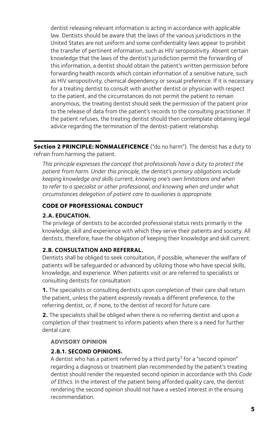dentist releasing relevant information is acting in accordance with applicable law. Dentists should be aware that the laws of the various jurisdictions in the United States are not uniform and some confidentiality laws appear to prohibit the transfer of pertinent information, such as HIV seropositivity. Absent certain knowledge that the laws of the dentist's jurisdiction permit the forwarding of this information, a dentist should obtain the patient's written permission before forwarding health records which contain information of a sensitive nature, such as HIV seropositivity, chemical dependency or sexual preference. If it is necessary for a treating dentist to consult with another dentist or physician with respect to the patient, and the circumstances do not permit the patient to remain anonymous, the treating dentist should seek the permission of the patient prior to the release of data from the patient's records to the consulting practitioner. If the patient refuses, the treating dentist should then contemplate obtaining legal advice regarding the termination of the dentist-patient relationship.

**Section 2 PRINCIPLE: NONMALEFICENCE** ("do no harm"). The dentist has a duty to refrain from harming the patient.

*This principle expresses the concept that professionals have a duty to protect the patient from harm. Under this principle, the dentist's primary obligations include keeping knowledge and skills current, knowing one's own limitations and when to refer to a specialist or other professional, and knowing when and under what circumstances delegation of patient care to auxiliaries is appropriate.*

#### **CODE OF PROFESSIONAL CONDUCT**

#### **2.A. EDUCATION.**

The privilege of dentists to be accorded professional status rests primarily in the knowledge, skill and experience with which they serve their patients and society. All dentists, therefore, have the obligation of keeping their knowledge and skill current.

#### **2.B. CONSULTATION AND REFERRAL.**

Dentists shall be obliged to seek consultation, if possible, whenever the welfare of patients will be safeguarded or advanced by utilizing those who have special skills, knowledge, and experience. When patients visit or are referred to specialists or consulting dentists for consultation:

**1.** The specialists or consulting dentists upon completion of their care shall return the patient, unless the patient expressly reveals a different preference, to the referring dentist, or, if none, to the dentist of record for future care.

**2.** The specialists shall be obliged when there is no referring dentist and upon a completion of their treatment to inform patients when there is a need for further dental care.

#### **ADVISORY OPINION**

#### **2.B.1. SECOND OPINIONS.**

A dentist who has a patient referred by a third party<sup>1</sup> for a "second opinion" regarding a diagnosis or treatment plan recommended by the patient's treating dentist should render the requested second opinion in accordance with this *Code of Ethics*. In the interest of the patient being afforded quality care, the dentist rendering the second opinion should not have a vested interest in the ensuing recommendation.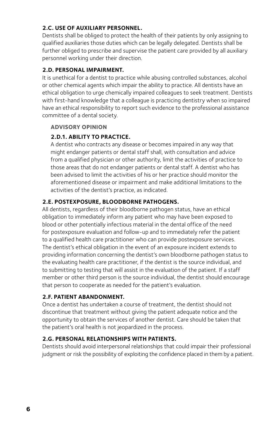#### **2.C. USE OF AUXILIARY PERSONNEL.**

Dentists shall be obliged to protect the health of their patients by only assigning to qualified auxiliaries those duties which can be legally delegated. Dentists shall be further obliged to prescribe and supervise the patient care provided by all auxiliary personnel working under their direction.

#### **2.D. PERSONAL IMPAIRMENT.**

It is unethical for a dentist to practice while abusing controlled substances, alcohol or other chemical agents which impair the ability to practice. All dentists have an ethical obligation to urge chemically impaired colleagues to seek treatment. Dentists with first-hand knowledge that a colleague is practicing dentistry when so impaired have an ethical responsibility to report such evidence to the professional assistance committee of a dental society.

#### **ADVISORY OPINION**

#### **2.D.1. ABILITY TO PRACTICE.**

A dentist who contracts any disease or becomes impaired in any way that might endanger patients or dental staff shall, with consultation and advice from a qualified physician or other authority, limit the activities of practice to those areas that do not endanger patients or dental staff. A dentist who has been advised to limit the activities of his or her practice should monitor the aforementioned disease or impairment and make additional limitations to the activities of the dentist's practice, as indicated.

#### **2.E. POSTEXPOSURE, BLOODBORNE PATHOGENS.**

All dentists, regardless of their bloodborne pathogen status, have an ethical obligation to immediately inform any patient who may have been exposed to blood or other potentially infectious material in the dental office of the need for postexposure evaluation and follow-up and to immediately refer the patient to a qualified health care practitioner who can provide postexposure services. The dentist's ethical obligation in the event of an exposure incident extends to providing information concerning the dentist's own bloodborne pathogen status to the evaluating health care practitioner, if the dentist is the source individual, and to submitting to testing that will assist in the evaluation of the patient. If a staff member or other third person is the source individual, the dentist should encourage that person to cooperate as needed for the patient's evaluation.

#### **2.F. PATIENT ABANDONMENT.**

Once a dentist has undertaken a course of treatment, the dentist should not discontinue that treatment without giving the patient adequate notice and the opportunity to obtain the services of another dentist. Care should be taken that the patient's oral health is not jeopardized in the process.

#### **2.G. PERSONAL RELATIONSHIPS WITH PATIENTS.**

Dentists should avoid interpersonal relationships that could impair their professional judgment or risk the possibility of exploiting the confidence placed in them by a patient.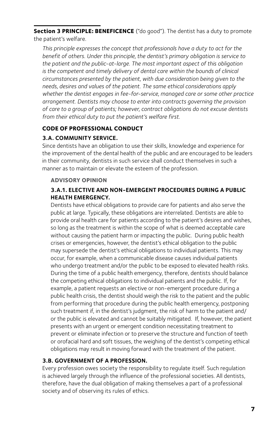**Section 3 PRINCIPLE: BENEFICENCE** ("do good"). The dentist has a duty to promote the patient's welfare.

*This principle expresses the concept that professionals have a duty to act for the benefit of others. Under this principle, the dentist's primary obligation is service to the patient and the public-at-large. The most important aspect of this obligation is the competent and timely delivery of dental care within the bounds of clinical circumstances presented by the patient, with due consideration being given to the needs, desires and values of the patient. The same ethical considerations apply whether the dentist engages in fee-for-service, managed care or some other practice arrangement. Dentists may choose to enter into contracts governing the provision of care to a group of patients; however, contract obligations do not excuse dentists from their ethical duty to put the patient's welfare first.* 

#### **CODE OF PROFESSIONAL CONDUCT**

#### **3.A. COMMUNITY SERVICE.**

Since dentists have an obligation to use their skills, knowledge and experience for the improvement of the dental health of the public and are encouraged to be leaders in their community, dentists in such service shall conduct themselves in such a manner as to maintain or elevate the esteem of the profession.

#### **ADVISORY OPINION**

#### **3.A.1. ELECTIVE AND NON-EMERGENT PROCEDURES DURING A PUBLIC HEALTH EMERGENCY.**

Dentists have ethical obligations to provide care for patients and also serve the public at large. Typically, these obligations are interrelated. Dentists are able to provide oral health care for patients according to the patient's desires and wishes, so long as the treatment is within the scope of what is deemed acceptable care without causing the patient harm or impacting the public. During public health crises or emergencies, however, the dentist's ethical obligation to the public may supersede the dentist's ethical obligations to individual patients. This may occur, for example, when a communicable disease causes individual patients who undergo treatment and/or the public to be exposed to elevated health risks. During the time of a public health emergency, therefore, dentists should balance the competing ethical obligations to individual patients and the public. If, for example, a patient requests an elective or non-emergent procedure during a public health crisis, the dentist should weigh the risk to the patient and the public from performing that procedure during the public health emergency, postponing such treatment if, in the dentist's judgment, the risk of harm to the patient and/ or the public is elevated and cannot be suitably mitigated. If, however, the patient presents with an urgent or emergent condition necessitating treatment to prevent or eliminate infection or to preserve the structure and function of teeth or orofacial hard and soft tissues, the weighing of the dentist's competing ethical obligations may result in moving forward with the treatment of the patient.

#### **3.B. GOVERNMENT OF A PROFESSION.**

Every profession owes society the responsibility to regulate itself. Such regulation is achieved largely through the influence of the professional societies. All dentists, therefore, have the dual obligation of making themselves a part of a professional society and of observing its rules of ethics.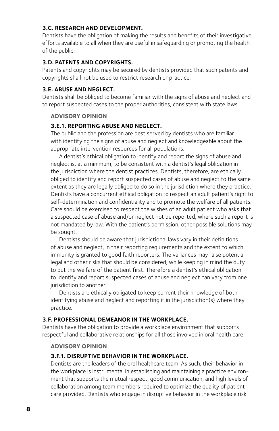#### **3.C. RESEARCH AND DEVELOPMENT.**

Dentists have the obligation of making the results and benefits of their investigative efforts available to all when they are useful in safeguarding or promoting the health of the public.

#### **3.D. PATENTS AND COPYRIGHTS.**

Patents and copyrights may be secured by dentists provided that such patents and copyrights shall not be used to restrict research or practice.

#### **3.E. ABUSE AND NEGLECT.**

Dentists shall be obliged to become familiar with the signs of abuse and neglect and to report suspected cases to the proper authorities, consistent with state laws.

#### **ADVISORY OPINION**

#### **3.E.1. REPORTING ABUSE AND NEGLECT.**

The public and the profession are best served by dentists who are familiar with identifying the signs of abuse and neglect and knowledgeable about the appropriate intervention resources for all populations.

 A dentist's ethical obligation to identify and report the signs of abuse and neglect is, at a minimum, to be consistent with a dentist's legal obligation in the jurisdiction where the dentist practices. Dentists, therefore, are ethically obliged to identify and report suspected cases of abuse and neglect to the same extent as they are legally obliged to do so in the jurisdiction where they practice. Dentists have a concurrent ethical obligation to respect an adult patient's right to self-determination and confidentiality and to promote the welfare of all patients. Care should be exercised to respect the wishes of an adult patient who asks that a suspected case of abuse and/or neglect not be reported, where such a report is not mandated by law. With the patient's permission, other possible solutions may be sought.

 Dentists should be aware that jurisdictional laws vary in their definitions of abuse and neglect, in their reporting requirements and the extent to which immunity is granted to good faith reporters. The variances may raise potential legal and other risks that should be considered, while keeping in mind the duty to put the welfare of the patient first. Therefore a dentist's ethical obligation to identify and report suspected cases of abuse and neglect can vary from one jurisdiction to another.

 Dentists are ethically obligated to keep current their knowledge of both identifying abuse and neglect and reporting it in the jurisdiction(s) where they practice.

#### **3.F. PROFESSIONAL DEMEANOR IN THE WORKPLACE.**

Dentists have the obligation to provide a workplace environment that supports respectful and collaborative relationships for all those involved in oral health care.

#### **ADVISORY OPINION**

#### **3.F.1. DISRUPTIVE BEHAVIOR IN THE WORKPLACE.**

Dentists are the leaders of the oral healthcare team. As such, their behavior in the workplace is instrumental in establishing and maintaining a practice environment that supports the mutual respect, good communication, and high levels of collaboration among team members required to optimize the quality of patient care provided. Dentists who engage in disruptive behavior in the workplace risk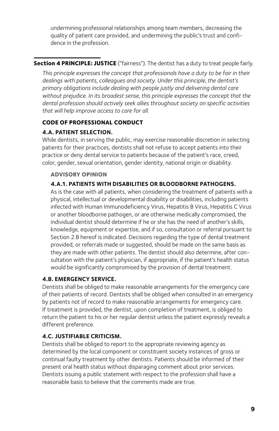undermining professional relationships among team members, decreasing the quality of patient care provided, and undermining the public's trust and confidence in the profession.

**Section 4 PRINCIPLE: JUSTICE** ("fairness"). The dentist has a duty to treat people fairly.

*This principle expresses the concept that professionals have a duty to be fair in their dealings with patients, colleagues and society. Under this principle, the dentist's primary obligations include dealing with people justly and delivering dental care without prejudice. In its broadest sense, this principle expresses the concept that the dental profession should actively seek allies throughout society on specific activities that will help improve access to care for all.*

#### **CODE OF PROFESSIONAL CONDUCT**

#### **4.A. PATIENT SELECTION.**

While dentists, in serving the public, may exercise reasonable discretion in selecting patients for their practices, dentists shall not refuse to accept patients into their practice or deny dental service to patients because of the patient's race, creed, color, gender, sexual orientation, gender identity, national origin or disability.

#### **ADVISORY OPINION**

#### **4.A.1. PATIENTS WITH DISABILITIES OR BLOODBORNE PATHOGENS.**

As is the case with all patients, when considering the treatment of patients with a physical, intellectual or developmental disability or disabilities, including patients infected with Human Immunodeficiency Virus, Hepatitis B Virus, Hepatitis C Virus or another bloodborne pathogen, or are otherwise medically compromised, the individual dentist should determine if he or she has the need of another's skills, knowledge, equipment or expertise, and if so, consultation or referral pursuant to Section 2.B hereof is indicated. Decisions regarding the type of dental treatment provided, or referrals made or suggested, should be made on the same basis as they are made with other patients. The dentist should also determine, after consultation with the patient's physician, if appropriate, if the patient's health status would be significantly compromised by the provision of dental treatment.

#### **4.B. EMERGENCY SERVICE.**

Dentists shall be obliged to make reasonable arrangements for the emergency care of their patients of record. Dentists shall be obliged when consulted in an emergency by patients not of record to make reasonable arrangements for emergency care. If treatment is provided, the dentist, upon completion of treatment, is obliged to return the patient to his or her regular dentist unless the patient expressly reveals a different preference.

#### **4.C. JUSTIFIABLE CRITICISM.**

Dentists shall be obliged to report to the appropriate reviewing agency as determined by the local component or constituent society instances of gross or continual faulty treatment by other dentists. Patients should be informed of their present oral health status without disparaging comment about prior services. Dentists issuing a public statement with respect to the profession shall have a reasonable basis to believe that the comments made are true.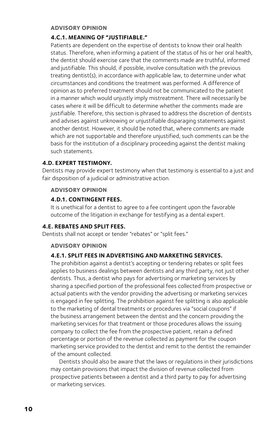#### **ADVISORY OPINION**

#### **4.C.1. MEANING OF "JUSTIFIABLE."**

Patients are dependent on the expertise of dentists to know their oral health status. Therefore, when informing a patient of the status of his or her oral health, the dentist should exercise care that the comments made are truthful, informed and justifiable. This should, if possible, involve consultation with the previous treating dentist(s), in accordance with applicable law, to determine under what circumstances and conditions the treatment was performed. A difference of opinion as to preferred treatment should not be communicated to the patient in a manner which would unjustly imply mistreatment. There will necessarily be cases where it will be difficult to determine whether the comments made are justifiable. Therefore, this section is phrased to address the discretion of dentists and advises against unknowing or unjustifiable disparaging statements against another dentist. However, it should be noted that, where comments are made which are not supportable and therefore unjustified, such comments can be the basis for the institution of a disciplinary proceeding against the dentist making such statements.

#### **4.D. EXPERT TESTIMONY.**

Dentists may provide expert testimony when that testimony is essential to a just and fair disposition of a judicial or administrative action.

#### **ADVISORY OPINION**

#### **4.D.1. CONTINGENT FEES.**

It is unethical for a dentist to agree to a fee contingent upon the favorable outcome of the litigation in exchange for testifying as a dental expert.

#### **4.E. REBATES AND SPLIT FEES.**

Dentists shall not accept or tender "rebates" or "split fees."

#### **ADVISORY OPINION**

#### **4.E.1. SPLIT FEES IN ADVERTISING AND MARKETING SERVICES.**

The prohibition against a dentist's accepting or tendering rebates or split fees applies to business dealings between dentists and any third party, not just other dentists. Thus, a dentist who pays for advertising or marketing services by sharing a specified portion of the professional fees collected from prospective or actual patients with the vendor providing the advertising or marketing services is engaged in fee splitting. The prohibition against fee splitting is also applicable to the marketing of dental treatments or procedures via "social coupons" if the business arrangement between the dentist and the concern providing the marketing services for that treatment or those procedures allows the issuing company to collect the fee from the prospective patient, retain a defined percentage or portion of the revenue collected as payment for the coupon marketing service provided to the dentist and remit to the dentist the remainder of the amount collected.

Dentists should also be aware that the laws or regulations in their jurisdictions may contain provisions that impact the division of revenue collected from prospective patients between a dentist and a third party to pay for advertising or marketing services.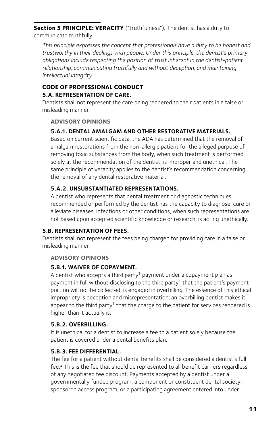**Section 5 PRINCIPLE: VERACITY** ("truthfulness"). The dentist has a duty to communicate truthfully.

*This principle expresses the concept that professionals have a duty to be honest and trustworthy in their dealings with people. Under this principle, the dentist's primary obligations include respecting the position of trust inherent in the dentist-patient relationship, communicating truthfully and without deception, and maintaining intellectual integrity.* 

#### **CODE OF PROFESSIONAL CONDUCT 5.A. REPRESENTATION OF CARE.**

Dentists shall not represent the care being rendered to their patients in a false or misleading manner.

#### **ADVISORY OPINIONS**

#### **5.A.1. DENTAL AMALGAM AND OTHER RESTORATIVE MATERIALS.**

Based on current scientific data, the ADA has determined that the removal of amalgam restorations from the non-allergic patient for the alleged purpose of removing toxic substances from the body, when such treatment is performed solely at the recommendation of the dentist, is improper and unethical. The same principle of veracity applies to the dentist's recommendation concerning the removal of any dental restorative material.

#### **5.A.2. UNSUBSTANTIATED REPRESENTATIONS.**

A dentist who represents that dental treatment or diagnostic techniques recommended or performed by the dentist has the capacity to diagnose, cure or alleviate diseases, infections or other conditions, when such representations are not based upon accepted scientific knowledge or research, is acting unethically.

#### **5.B. REPRESENTATION OF FEES.**

Dentists shall not represent the fees being charged for providing care in a false or misleading manner.

#### **ADVISORY OPINIONS**

#### **5.B.1. WAIVER OF COPAYMENT.**

A dentist who accepts a third party<sup>1</sup> payment under a copayment plan as payment in full without disclosing to the third party<sup>1</sup> that the patient's payment portion will not be collected, is engaged in overbilling. The essence of this ethical impropriety is deception and misrepresentation; an overbilling dentist makes it appear to the third party<sup>1</sup> that the charge to the patient for services rendered is higher than it actually is.

#### **5.B.2. OVERBILLING.**

It is unethical for a dentist to increase a fee to a patient solely because the patient is covered under a dental benefits plan.

#### **5.B.3. FEE DIFFERENTIAL.**

The fee for a patient without dental benefits shall be considered a dentist's full fee.<sup>2</sup> This is the fee that should be represented to all benefit carriers regardless of any negotiated fee discount. Payments accepted by a dentist under a governmentally funded program, a component or constituent dental societysponsored access program, or a participating agreement entered into under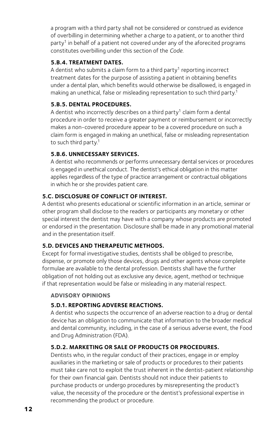a program with a third party shall not be considered or construed as evidence of overbilling in determining whether a charge to a patient, or to another third party<sup>1</sup> in behalf of a patient not covered under any of the aforecited programs constitutes overbilling under this section of the *Code*.

#### **5.B.4. TREATMENT DATES.**

A dentist who submits a claim form to a third party<sup>1</sup> reporting incorrect treatment dates for the purpose of assisting a patient in obtaining benefits under a dental plan, which benefits would otherwise be disallowed, is engaged in making an unethical, false or misleading representation to such third party.<sup>1</sup>

#### **5.B.5. DENTAL PROCEDURES.**

A dentist who incorrectly describes on a third party<sup>1</sup> claim form a dental procedure in order to receive a greater payment or reimbursement or incorrectly makes a non-covered procedure appear to be a covered procedure on such a claim form is engaged in making an unethical, false or misleading representation to such third party.<sup>1</sup>

#### **5.B.6. UNNECESSARY SERVICES.**

A dentist who recommends or performs unnecessary dental services or procedures is engaged in unethical conduct. The dentist's ethical obligation in this matter applies regardless of the type of practice arrangement or contractual obligations in which he or she provides patient care.

#### **5.C. DISCLOSURE OF CONFLICT OF INTEREST.**

A dentist who presents educational or scientific information in an article, seminar or other program shall disclose to the readers or participants any monetary or other special interest the dentist may have with a company whose products are promoted or endorsed in the presentation. Disclosure shall be made in any promotional material and in the presentation itself.

#### **5.D. DEVICES AND THERAPEUTIC METHODS.**

Except for formal investigative studies, dentists shall be obliged to prescribe, dispense, or promote only those devices, drugs and other agents whose complete formulae are available to the dental profession. Dentists shall have the further obligation of not holding out as exclusive any device, agent, method or technique if that representation would be false or misleading in any material respect.

#### **ADVISORY OPINIONS**

#### **5.D.1. REPORTING ADVERSE REACTIONS.**

A dentist who suspects the occurrence of an adverse reaction to a drug or dental device has an obligation to communicate that information to the broader medical and dental community, including, in the case of a serious adverse event, the Food and Drug Administration (FDA).

#### **5.D.2. MARKETING OR SALE OF PRODUCTS OR PROCEDURES.**

Dentists who, in the regular conduct of their practices, engage in or employ auxiliaries in the marketing or sale of products or procedures to their patients must take care not to exploit the trust inherent in the dentist-patient relationship for their own financial gain. Dentists should not induce their patients to purchase products or undergo procedures by misrepresenting the product's value, the necessity of the procedure or the dentist's professional expertise in recommending the product or procedure.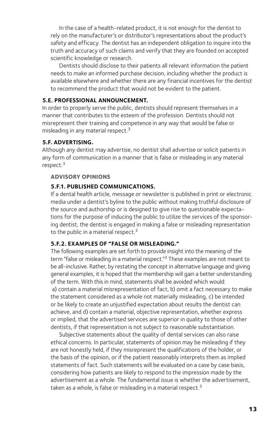In the case of a health-related product, it is not enough for the dentist to rely on the manufacturer's or distributor's representations about the product's safety and efficacy. The dentist has an independent obligation to inquire into the truth and accuracy of such claims and verify that they are founded on accepted scientific knowledge or research.

Dentists should disclose to their patients all relevant information the patient needs to make an informed purchase decision, including whether the product is available elsewhere and whether there are any financial incentives for the dentist to recommend the product that would not be evident to the patient.

#### **5.E. PROFESSIONAL ANNOUNCEMENT.**

In order to properly serve the public, dentists should represent themselves in a manner that contributes to the esteem of the profession. Dentists should not misrepresent their training and competence in any way that would be false or misleading in any material respect.<sup>3</sup>

#### **5.F. ADVERTISING.**

Although any dentist may advertise, no dentist shall advertise or solicit patients in any form of communication in a manner that is false or misleading in any material respect.3 

#### **ADVISORY OPINIONS**

#### **5.F.1. PUBLISHED COMMUNICATIONS.**

If a dental health article, message or newsletter is published in print or electronic media under a dentist's byline to the public without making truthful disclosure of the source and authorship or is designed to give rise to questionable expectations for the purpose of inducing the public to utilize the services of the sponsoring dentist, the dentist is engaged in making a false or misleading representation to the public in a material respect.<sup>3</sup>

#### **5.F.2. EXAMPLES OF "FALSE OR MISLEADING."**

The following examples are set forth to provide insight into the meaning of the term "false or misleading in a material respect."<sup>3</sup> These examples are not meant to be all-inclusive. Rather, by restating the concept in alternative language and giving general examples, it is hoped that the membership will gain a better understanding of the term. With this in mind, statements shall be avoided which would: a) contain a material misrepresentation of fact, b) omit a fact necessary to make the statement considered as a whole not materially misleading, c) be intended or be likely to create an unjustified expectation about results the dentist can achieve, and d) contain a material, objective representation, whether express or implied, that the advertised services are superior in quality to those of other dentists, if that representation is not subject to reasonable substantiation.

Subjective statements about the quality of dental services can also raise ethical concerns. In particular, statements of opinion may be misleading if they are not honestly held, if they misrepresent the qualifications of the holder, or the basis of the opinion, or if the patient reasonably interprets them as implied statements of fact. Such statements will be evaluated on a case by case basis, considering how patients are likely to respond to the impression made by the advertisement as a whole. The fundamental issue is whether the advertisement, taken as a whole, is false or misleading in a material respect.<sup>3</sup>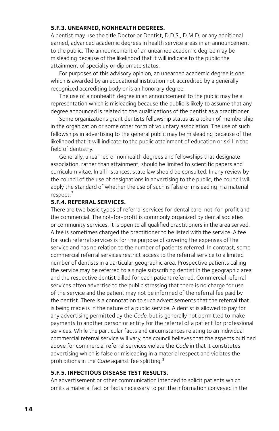#### **5.F.3. UNEARNED, NONHEALTH DEGREES.**

A dentist may use the title Doctor or Dentist, D.D.S., D.M.D. or any additional earned, advanced academic degrees in health service areas in an announcement to the public. The announcement of an unearned academic degree may be misleading because of the likelihood that it will indicate to the public the attainment of specialty or diplomate status.

For purposes of this advisory opinion, an unearned academic degree is one which is awarded by an educational institution not accredited by a generally recognized accrediting body or is an honorary degree.

The use of a nonhealth degree in an announcement to the public may be a representation which is misleading because the public is likely to assume that any degree announced is related to the qualifications of the dentist as a practitioner.

Some organizations grant dentists fellowship status as a token of membership in the organization or some other form of voluntary association. The use of such fellowships in advertising to the general public may be misleading because of the likelihood that it will indicate to the public attainment of education or skill in the field of dentistry.

Generally, unearned or nonhealth degrees and fellowships that designate association, rather than attainment, should be limited to scientific papers and curriculum vitae. In all instances, state law should be consulted. In any review by the council of the use of designations in advertising to the public, the council will apply the standard of whether the use of such is false or misleading in a material respect<sup>3</sup>

#### **5.F.4. REFERRAL SERVICES.**

There are two basic types of referral services for dental care: not-for-profit and the commercial. The not-for-profit is commonly organized by dental societies or community services. It is open to all qualified practitioners in the area served. A fee is sometimes charged the practitioner to be listed with the service. A fee for such referral services is for the purpose of covering the expenses of the service and has no relation to the number of patients referred. In contrast, some commercial referral services restrict access to the referral service to a limited number of dentists in a particular geographic area. Prospective patients calling the service may be referred to a single subscribing dentist in the geographic area and the respective dentist billed for each patient referred. Commercial referral services often advertise to the public stressing that there is no charge for use of the service and the patient may not be informed of the referral fee paid by the dentist. There is a connotation to such advertisements that the referral that is being made is in the nature of a public service. A dentist is allowed to pay for any advertising permitted by the *Code*, but is generally not permitted to make payments to another person or entity for the referral of a patient for professional services. While the particular facts and circumstances relating to an individual commercial referral service will vary, the council believes that the aspects outlined above for commercial referral services violate the *Code* in that it constitutes advertising which is false or misleading in a material respect and violates the prohibitions in the *Code* against fee splitting.<sup>3</sup>

#### **5.F.5. INFECTIOUS DISEASE TEST RESULTS.**

An advertisement or other communication intended to solicit patients which omits a material fact or facts necessary to put the information conveyed in the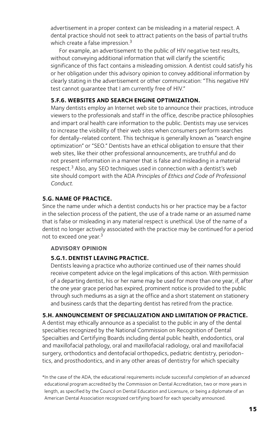advertisement in a proper context can be misleading in a material respect. A dental practice should not seek to attract patients on the basis of partial truths which create a false impression.<sup>3</sup>

For example, an advertisement to the public of HIV negative test results, without conveying additional information that will clarify the scientific significance of this fact contains a misleading omission. A dentist could satisfy his or her obligation under this advisory opinion to convey additional information by clearly stating in the advertisement or other communication: "This negative HIV test cannot guarantee that I am currently free of HIV."

#### **5.F.6. WEBSITES AND SEARCH ENGINE OPTIMIZATION.**

Many dentists employ an Internet web site to announce their practices, introduce viewers to the professionals and staff in the office, describe practice philosophies and impart oral health care information to the public. Dentists may use services to increase the visibility of their web sites when consumers perform searches for dentally-related content. This technique is generally known as "search engine optimization" or "SEO." Dentists have an ethical obligation to ensure that their web sites, like their other professional announcements, are truthful and do not present information in a manner that is false and misleading in a material respect.<sup>3</sup> Also, any SEO techniques used in connection with a dentist's web site should comport with the ADA *Principles of Ethics and Code of Professional Conduct.*

#### **5.G. NAME OF PRACTICE.**

Since the name under which a dentist conducts his or her practice may be a factor in the selection process of the patient, the use of a trade name or an assumed name that is false or misleading in any material respect is unethical. Use of the name of a dentist no longer actively associated with the practice may be continued for a period not to exceed one year.<sup>3</sup>

#### **ADVISORY OPINION**

#### **5.G.1. DENTIST LEAVING PRACTICE.**

Dentists leaving a practice who authorize continued use of their names should receive competent advice on the legal implications of this action. With permission of a departing dentist, his or her name may be used for more than one year, if, after the one year grace period has expired, prominent notice is provided to the public through such mediums as a sign at the office and a short statement on stationery and business cards that the departing dentist has retired from the practice.

#### **5.H. ANNOUNCEMENT OF SPECIALIZATION AND LIMITATION OF PRACTICE.**

A dentist may ethically announce as a specialist to the public in any of the dental specialties recognized by the National Commission on Recognition of Dental Specialties and Certifying Boards including dental public health, endodontics, oral and maxillofacial pathology, oral and maxillofacial radiology, oral and maxillofacial surgery, orthodontics and dentofacial orthopedics, pediatric dentistry, periodontics, and prosthodontics, and in any other areas of dentistry for which specialty

\*In the case of the ADA, the educational requirements include successful completion of an advanced educational program accredited by the Commission on Dental Accreditation, two or more years in length, as specified by the Council on Dental Education and Licensure, or being a diplomate of an American Dental Association recognized certifying board for each specialty announced.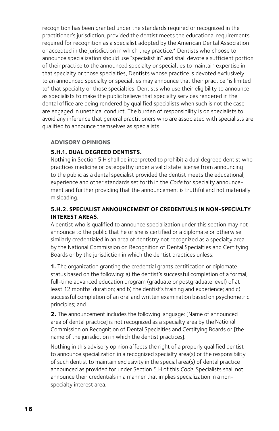recognition has been granted under the standards required or recognized in the practitioner's jurisdiction, provided the dentist meets the educational requirements required for recognition as a specialist adopted by the American Dental Association or accepted in the jurisdiction in which they practice.\* Dentists who choose to announce specialization should use "specialist in" and shall devote a sufficient portion of their practice to the announced specialty or specialties to maintain expertise in that specialty or those specialties, Dentists whose practice is devoted exclusively to an announced specialty or specialties may announce that their practice "is limited to" that specialty or those specialties. Dentists who use their eligibility to announce as specialists to make the public believe that specialty services rendered in the dental office are being rendered by qualified specialists when such is not the case are engaged in unethical conduct. The burden of responsibility is on specialists to avoid any inference that general practitioners who are associated with specialists are qualified to announce themselves as specialists.

#### **ADVISORY OPINIONS**

#### **5.H.1. DUAL DEGREED DENTISTS.**

Nothing in Section 5.H shall be interpreted to prohibit a dual degreed dentist who practices medicine or osteopathy under a valid state license from announcing to the public as a dental specialist provided the dentist meets the educational, experience and other standards set forth in the *Code* for specialty announcement and further providing that the announcement is truthful and not materially misleading.

#### **5.H.2. SPECIALIST ANNOUNCEMENT OF CREDENTIALS IN NON-SPECIALTY INTEREST AREAS.**

A dentist who is qualified to announce specialization under this section may not announce to the public that he or she is certified or a diplomate or otherwise similarly credentialed in an area of dentistry not recognized as a specialty area by the National Commission on Recognition of Dental Specialties and Certifying Boards or by the jurisdiction in which the dentist practices unless:

**1.** The organization granting the credential grants certification or diplomate status based on the following: a) the dentist's successful completion of a formal, full-time advanced education program (graduate or postgraduate level) of at least 12 months' duration; and b) the dentist's training and experience; and c) successful completion of an oral and written examination based on psychometric principles; and

**2.** The announcement includes the following language: [Name of announced area of dental practice] is not recognized as a specialty area by the National Commission on Recognition of Dental Specialties and Certifying Boards or [the name of the jurisdiction in which the dentist practices].

Nothing in this advisory opinion affects the right of a properly qualified dentist to announce specialization in a recognized specialty area(s) or the responsibility of such dentist to maintain exclusivity in the special area(s) of dental practice announced as provided for under Section 5.H of this *Code*. Specialists shall not announce their credentials in a manner that implies specialization in a nonspecialty interest area.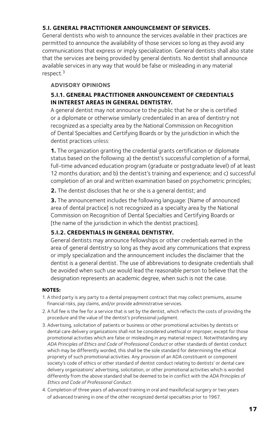#### **5.I. GENERAL PRACTITIONER ANNOUNCEMENT OF SERVICES.**

General dentists who wish to announce the services available in their practices are permitted to announce the availability of those services so long as they avoid any communications that express or imply specialization. General dentists shall also state that the services are being provided by general dentists. No dentist shall announce available services in any way that would be false or misleading in any material respect.<sup>3</sup>

#### **ADVISORY OPINIONS**

#### **5.I.1. GENERAL PRACTITIONER ANNOUNCEMENT OF CREDENTIALS IN INTEREST AREAS IN GENERAL DENTISTRY.**

A general dentist may not announce to the public that he or she is certified or a diplomate or otherwise similarly credentialed in an area of dentistry not recognized as a specialty area by the National Commission on Recognition of Dental Specialties and Certifying Boards or by the jurisdiction in which the dentist practices unless:

**1.** The organization granting the credential grants certification or diplomate status based on the following: a) the dentist's successful completion of a formal, full-time advanced education program (graduate or postgraduate level) of at least 12 months duration; and b) the dentist's training and experience; and c) successful completion of an oral and written examination based on psychometric principles;

**2.** The dentist discloses that he or she is a general dentist; and

**3.** The announcement includes the following language: [Name of announced area of dental practice] is not recognized as a specialty area by the National Commission on Recognition of Dental Specialties and Certifying Boards or [the name of the jurisdiction in which the dentist practices].

#### **5.I.2. CREDENTIALS IN GENERAL DENTISTRY.**

General dentists may announce fellowships or other credentials earned in the area of general dentistry so long as they avoid any communications that express or imply specialization and the announcement includes the disclaimer that the dentist is a general dentist. The use of abbreviations to designate credentials shall be avoided when such use would lead the reasonable person to believe that the designation represents an academic degree, when such is not the case.

#### **NOTES:**

- 1. A third party is any party to a dental prepayment contract that may collect premiums, assume financial risks, pay claims, and/or provide administrative services.
- 2. A full fee is the fee for a service that is set by the dentist, which reflects the costs of providing the procedure and the value of the dentist's professional judgment.
- 3. Advertising, solicitation of patients or business or other promotional activities by dentists or dental care delivery organizations shall not be considered unethical or improper, except for those promotional activities which are false or misleading in any material respect. Notwithstanding any *ADA Principles of Ethics and Code of Professional Conduct* or other standards of dentist conduct which may be differently worded, this shall be the sole standard for determining the ethical propriety of such promotional activities. Any provision of an ADA constituent or component society's code of ethics or other standard of dentist conduct relating to dentists' or dental care delivery organizations' advertising, solicitation, or other promotional activities which is worded differently from the above standard shall be deemed to be in conflict with the *ADA Principles of Ethics and Code of Professional Conduct*.
- 4. Completion of three years of advanced training in oral and maxillofacial surgery or two years of advanced training in one of the other recognized dental specialties prior to 1967.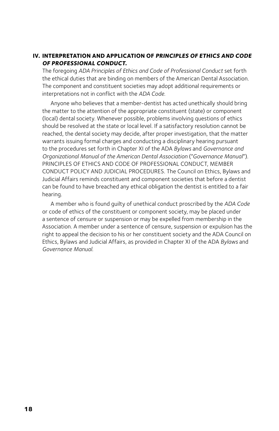#### **IV. INTERPRETATION AND APPLICATION OF PRINCIPLES OF ETHICS AND CODE OF PROFESSIONAL CONDUCT.**

The foregoing *ADA Principles of Ethics and Code of Professional Conduct* set forth the ethical duties that are binding on members of the American Dental Association. The component and constituent societies may adopt additional requirements or interpretations not in conflict with the *ADA Code*.

Anyone who believes that a member-dentist has acted unethically should bring the matter to the attention of the appropriate constituent (state) or component (local) dental society. Whenever possible, problems involving questions of ethics should be resolved at the state or local level. If a satisfactory resolution cannot be reached, the dental society may decide, after proper investigation, that the matter warrants issuing formal charges and conducting a disciplinary hearing pursuant to the procedures set forth in Chapter XI of the ADA *Bylaws* and *Governance and Organizational Manual of the American Dental Association* ("*Governance Manual*"). PRINCIPLES OF ETHICS AND CODE OF PROFESSIONAL CONDUCT, MEMBER CONDUCT POLICY AND JUDICIAL PROCEDURES. The Council on Ethics, Bylaws and Judicial Affairs reminds constituent and component societies that before a dentist can be found to have breached any ethical obligation the dentist is entitled to a fair hearing.

A member who is found guilty of unethical conduct proscribed by the *ADA Code* or code of ethics of the constituent or component society, may be placed under a sentence of censure or suspension or may be expelled from membership in the Association. A member under a sentence of censure, suspension or expulsion has the right to appeal the decision to his or her constituent society and the ADA Council on Ethics, Bylaws and Judicial Affairs, as provided in Chapter XI of the ADA *Bylaws* and *Governance Manual*.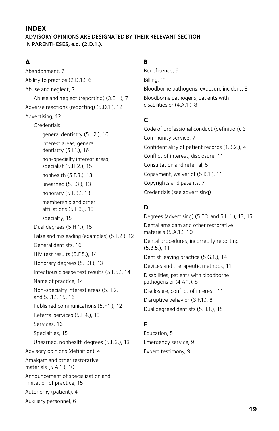#### **INDEX**

ADVISORY OPINIONS ARE DESIGNATED BY THEIR RELEVANT SECTION IN PARENTHESES, e.g. (2.D.1.).

# **A**

Abandonment, 6 Ability to practice (2.D.1.), 6 Abuse and neglect, 7 Abuse and neglect (reporting) (3.E.1.), 7 Adverse reactions (reporting) (5.D.1.), 12 Advertising, 12 **Credentials**  general dentistry (5.I.2.), 16 interest areas, general dentistry (5.I.1.), 16 non-specialty interest areas, specialist (5.H.2.), 15 nonhealth (5.F.3.), 13 unearned (5.F.3.), 13 honorary (5.F.3.), 13 membership and other affiliations (5.F.3.), 13 specialty, 15 Dual degrees (5.H.1.), 15 False and misleading (examples) (5.F.2.), 12 General dentists, 16 HIV test results (5.F.5.), 14 Honorary degrees (5.F.3.), 13 Infectious disease test results (5.F.5.), 14 Name of practice, 14 Non-specialty interest areas (5.H.2. and 5.I.1.), 15, 16 Published communications (5.F.1.), 12 Referral services (5.F.4.), 13 Services, 16 Specialties, 15 Unearned, nonhealth degrees (5.F.3.), 13 Advisory opinions (definition), 4 Amalgam and other restorative materials (5.A.1.), 10 Announcement of specialization and limitation of practice, 15 Autonomy (patient), 4 Auxiliary personnel, 6

#### **B**

Beneficence, 6 Billing, 11 Bloodborne pathogens, exposure incident, 8 Bloodborne pathogens, patients with disabilities or (4.A.1.), 8

# **C**

Code of professional conduct (definition), 3 Community service, 7 Confidentiality of patient records (1.B.2.), 4 Conflict of interest, disclosure, 11 Consultation and referral, 5 Copayment, waiver of (5.B.1.), 11 Copyrights and patents, 7 Credentials (see advertising)

# **D**

Degrees (advertising) (5.F.3. and 5.H.1.), 13, 15 Dental amalgam and other restorative materials (5.A.1.), 10 Dental procedures, incorrectly reporting (5.B.5.), 11 Dentist leaving practice (5.G.1.), 14 Devices and therapeutic methods, 11 Disabilities, patients with bloodborne pathogens or (4.A.1.), 8 Disclosure, conflict of interest, 11 Disruptive behavior (3.F.1.), 8 Dual degreed dentists (5.H.1.), 15

# **E**

Education, 5 Emergency service, 9 Expert testimony, 9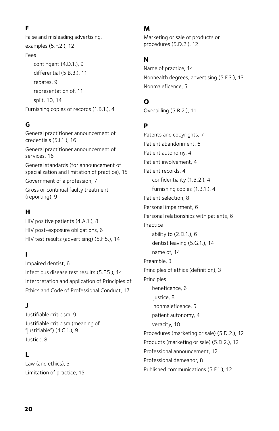# **F**

False and misleading advertising, examples (5.F.2.), 12

#### Fees

 contingent (4.D.1.), 9 differential (5.B.3.), 11 rebates, 9 representation of, 11 split, 10, 14 Furnishing copies of records (1.B.1.), 4

# **G**

General practitioner announcement of credentials (5.I.1.), 16 General practitioner announcement of services, 16

General standards (for announcement of specialization and limitation of practice), 15

Government of a profession, 7

Gross or continual faulty treatment (reporting), 9

# **H**

HIV positive patients (4.A.1.), 8 HIV post-exposure obligations, 6 HIV test results (advertising) (5.F.5.), 14

# **I**

Impaired dentist, 6 Infectious disease test results (5.F.5.), 14 Interpretation and application of Principles of Ethics and Code of Professional Conduct, 17

# **J**

Justifiable criticism, 9 Justifiable criticism (meaning of "justifiable") (4.C.1.), 9 Justice, 8

# **L**

Law (and ethics), 3 Limitation of practice, 15

#### **M**

Marketing or sale of products or procedures (5.D.2.), 12

# **N**

Name of practice, 14 Nonhealth degrees, advertising (5.F.3.), 13 Nonmaleficence, 5

# **O**

Overbilling (5.B.2.), 11

# **P**

Patents and copyrights, 7 Patient abandonment, 6 Patient autonomy, 4 Patient involvement, 4 Patient records, 4 confidentiality (1.B.2.), 4 furnishing copies (1.B.1.), 4 Patient selection, 8 Personal impairment, 6 Personal relationships with patients, 6 Practice ability to (2.D.1.), 6 dentist leaving (5.G.1.), 14 name of, 14 Preamble, 3 Principles of ethics (definition), 3 Principles beneficence, 6 justice, 8 nonmaleficence, 5 patient autonomy, 4 veracity, 10 Procedures (marketing or sale) (5.D.2.), 12 Products (marketing or sale) (5.D.2.), 12 Professional announcement, 12 Professional demeanor, 8 Published communications (5.F.1.), 12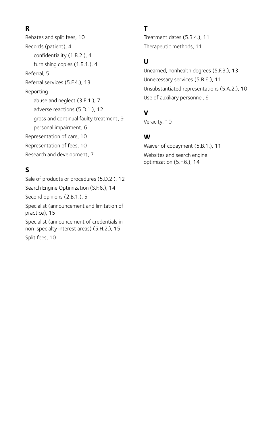# **R**

Rebates and split fees, 10 Records (patient), 4 confidentiality (1.B.2.), 4 furnishing copies (1.B.1.), 4 Referral, 5 Referral services (5.F.4.), 13 Reporting abuse and neglect (3.E.1.), 7 adverse reactions (5.D.1.), 12 gross and continual faulty treatment, 9 personal impairment, 6 Representation of care, 10 Representation of fees, 10 Research and development, 7

# **S**

Sale of products or procedures (5.D.2.), 12 Search Engine Optimization (S.F.6.), 14 Second opinions (2.B.1.), 5 Specialist (announcement and limitation of practice), 15 Specialist (announcement of credentials in non-specialty interest areas) (5.H.2.), 15 Split fees, 10

#### **T**

Treatment dates (5.B.4.), 11 Therapeutic methods, 11

# **U**

Unearned, nonhealth degrees (5.F.3.), 13 Unnecessary services (5.B.6.), 11 Unsubstantiated representations (5.A.2.), 10 Use of auxiliary personnel, 6

# **V**

Veracity, 10

# **W**

Waiver of copayment (5.B.1.), 11 Websites and search engine optimization (5.F.6.), 14